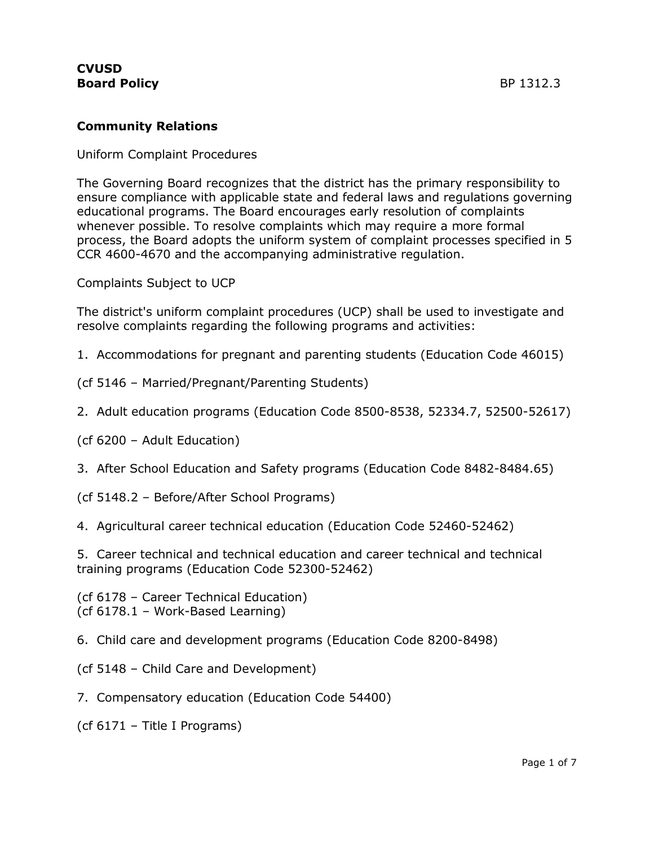## **Community Relations**

Uniform Complaint Procedures

The Governing Board recognizes that the district has the primary responsibility to ensure compliance with applicable state and federal laws and regulations governing educational programs. The Board encourages early resolution of complaints whenever possible. To resolve complaints which may require a more formal process, the Board adopts the uniform system of complaint processes specified in 5 CCR 4600-4670 and the accompanying administrative regulation.

Complaints Subject to UCP

The district's uniform complaint procedures (UCP) shall be used to investigate and resolve complaints regarding the following programs and activities:

1. Accommodations for pregnant and parenting students (Education Code 46015)

(cf 5146 – Married/Pregnant/Parenting Students)

2. Adult education programs (Education Code 8500-8538, 52334.7, 52500-52617)

(cf 6200 – Adult Education)

3. After School Education and Safety programs (Education Code 8482-8484.65)

(cf 5148.2 – Before/After School Programs)

4. Agricultural career technical education (Education Code 52460-52462)

5. Career technical and technical education and career technical and technical training programs (Education Code 52300-52462)

(cf 6178 – Career Technical Education) (cf 6178.1 – Work-Based Learning)

6. Child care and development programs (Education Code 8200-8498)

(cf 5148 – Child Care and Development)

7. Compensatory education (Education Code 54400)

(cf 6171 – Title I Programs)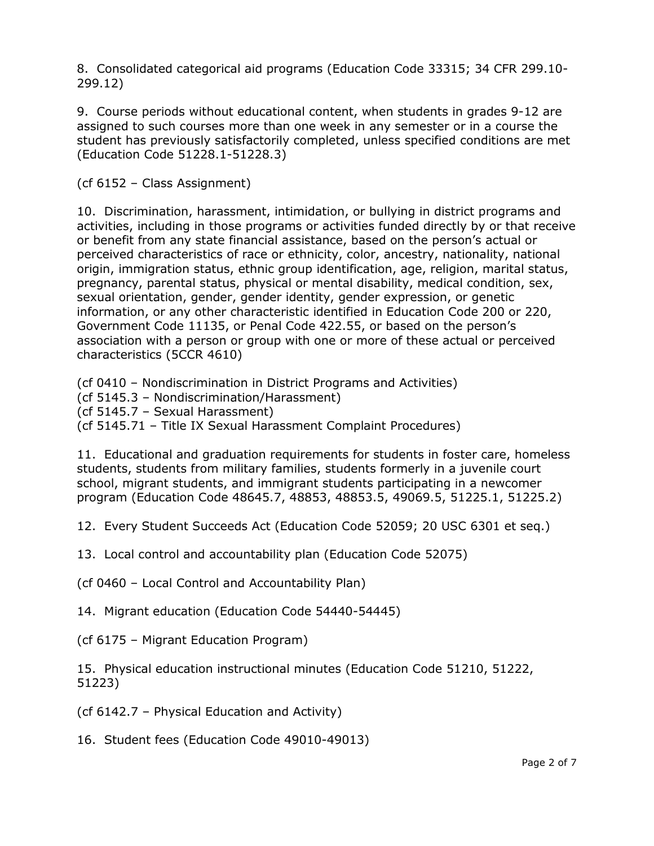8. Consolidated categorical aid programs (Education Code 33315; 34 CFR 299.10- 299.12)

9. Course periods without educational content, when students in grades 9-12 are assigned to such courses more than one week in any semester or in a course the student has previously satisfactorily completed, unless specified conditions are met (Education Code 51228.1-51228.3)

(cf 6152 – Class Assignment)

10. Discrimination, harassment, intimidation, or bullying in district programs and activities, including in those programs or activities funded directly by or that receive or benefit from any state financial assistance, based on the person's actual or perceived characteristics of race or ethnicity, color, ancestry, nationality, national origin, immigration status, ethnic group identification, age, religion, marital status, pregnancy, parental status, physical or mental disability, medical condition, sex, sexual orientation, gender, gender identity, gender expression, or genetic information, or any other characteristic identified in Education Code 200 or 220, Government Code 11135, or Penal Code 422.55, or based on the person's association with a person or group with one or more of these actual or perceived characteristics (5CCR 4610)

(cf 0410 – Nondiscrimination in District Programs and Activities)

(cf 5145.3 – Nondiscrimination/Harassment)

(cf 5145.7 – Sexual Harassment)

(cf 5145.71 – Title IX Sexual Harassment Complaint Procedures)

11. Educational and graduation requirements for students in foster care, homeless students, students from military families, students formerly in a juvenile court school, migrant students, and immigrant students participating in a newcomer program (Education Code 48645.7, 48853, 48853.5, 49069.5, 51225.1, 51225.2)

12. Every Student Succeeds Act (Education Code 52059; 20 USC 6301 et seq.)

13. Local control and accountability plan (Education Code 52075)

(cf 0460 – Local Control and Accountability Plan)

14. Migrant education (Education Code 54440-54445)

(cf 6175 – Migrant Education Program)

15. Physical education instructional minutes (Education Code 51210, 51222, 51223)

(cf 6142.7 – Physical Education and Activity)

16. Student fees (Education Code 49010-49013)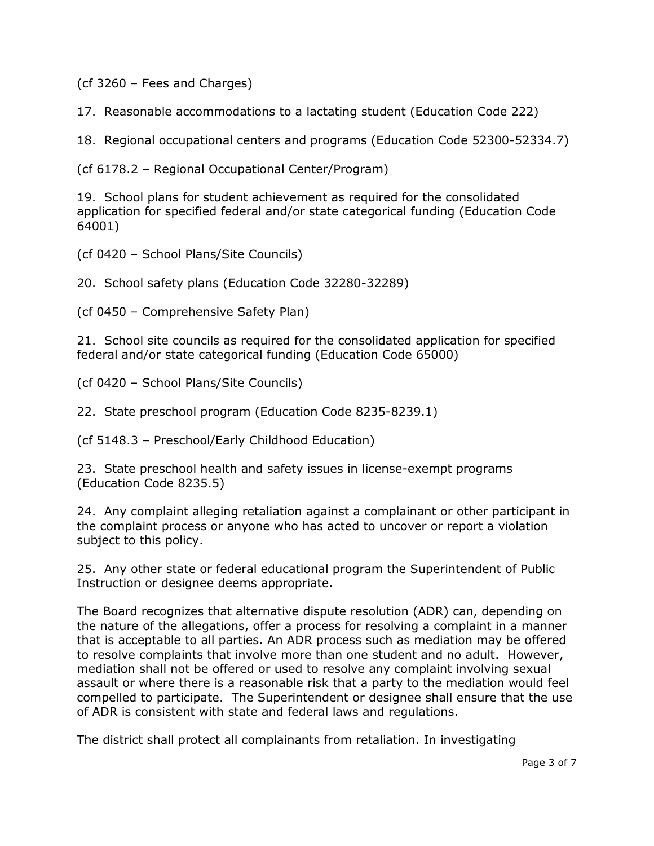(cf 3260 – Fees and Charges)

17. Reasonable accommodations to a lactating student (Education Code 222)

18. Regional occupational centers and programs (Education Code 52300-52334.7)

(cf 6178.2 – Regional Occupational Center/Program)

19. School plans for student achievement as required for the consolidated application for specified federal and/or state categorical funding (Education Code 64001)

(cf 0420 – School Plans/Site Councils)

20. School safety plans (Education Code 32280-32289)

(cf 0450 – Comprehensive Safety Plan)

21. School site councils as required for the consolidated application for specified federal and/or state categorical funding (Education Code 65000)

(cf 0420 – School Plans/Site Councils)

22. State preschool program (Education Code 8235-8239.1)

(cf 5148.3 – Preschool/Early Childhood Education)

23. State preschool health and safety issues in license-exempt programs (Education Code 8235.5)

24. Any complaint alleging retaliation against a complainant or other participant in the complaint process or anyone who has acted to uncover or report a violation subject to this policy.

25. Any other state or federal educational program the Superintendent of Public Instruction or designee deems appropriate.

The Board recognizes that alternative dispute resolution (ADR) can, depending on the nature of the allegations, offer a process for resolving a complaint in a manner that is acceptable to all parties. An ADR process such as mediation may be offered to resolve complaints that involve more than one student and no adult. However, mediation shall not be offered or used to resolve any complaint involving sexual assault or where there is a reasonable risk that a party to the mediation would feel compelled to participate. The Superintendent or designee shall ensure that the use of ADR is consistent with state and federal laws and regulations.

The district shall protect all complainants from retaliation. In investigating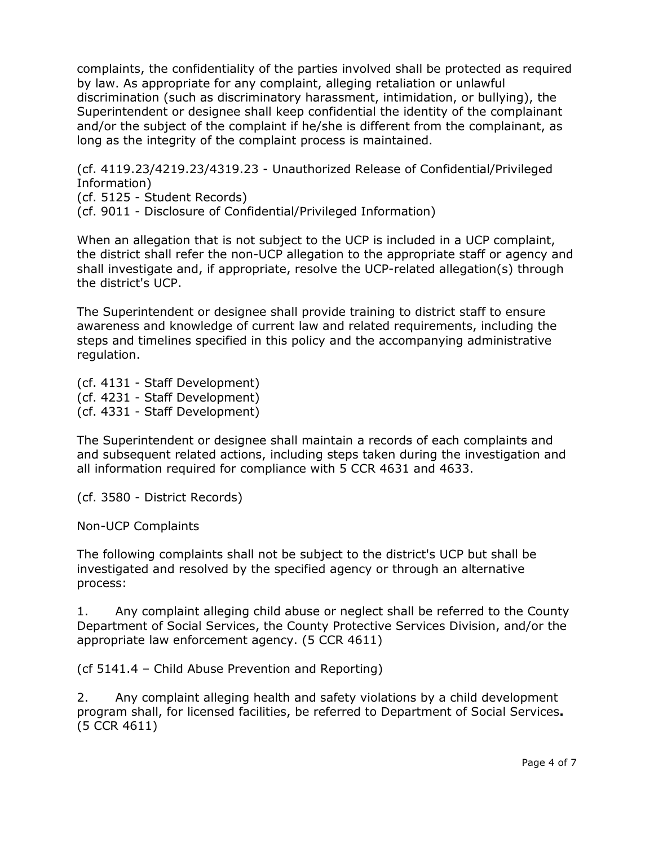complaints, the confidentiality of the parties involved shall be protected as required by law. As appropriate for any complaint, alleging retaliation or unlawful discrimination (such as discriminatory harassment, intimidation, or bullying), the Superintendent or designee shall keep confidential the identity of the complainant and/or the subject of the complaint if he/she is different from the complainant, as long as the integrity of the complaint process is maintained.

(cf. 4119.23/4219.23/4319.23 - Unauthorized Release of Confidential/Privileged Information)

(cf. 5125 - Student Records)

(cf. 9011 - Disclosure of Confidential/Privileged Information)

When an allegation that is not subject to the UCP is included in a UCP complaint, the district shall refer the non-UCP allegation to the appropriate staff or agency and shall investigate and, if appropriate, resolve the UCP-related allegation(s) through the district's UCP.

The Superintendent or designee shall provide training to district staff to ensure awareness and knowledge of current law and related requirements, including the steps and timelines specified in this policy and the accompanying administrative regulation.

(cf. 4131 - Staff Development) (cf. 4231 - Staff Development) (cf. 4331 - Staff Development)

The Superintendent or designee shall maintain a records of each complaints and and subsequent related actions, including steps taken during the investigation and all information required for compliance with 5 CCR 4631 and 4633.

(cf. 3580 - District Records)

Non-UCP Complaints

The following complaints shall not be subject to the district's UCP but shall be investigated and resolved by the specified agency or through an alternative process:

1. Any complaint alleging child abuse or neglect shall be referred to the County Department of Social Services, the County Protective Services Division, and/or the appropriate law enforcement agency. (5 CCR 4611)

(cf 5141.4 – Child Abuse Prevention and Reporting)

2. Any complaint alleging health and safety violations by a child development program shall, for licensed facilities, be referred to Department of Social Services**.** (5 CCR 4611)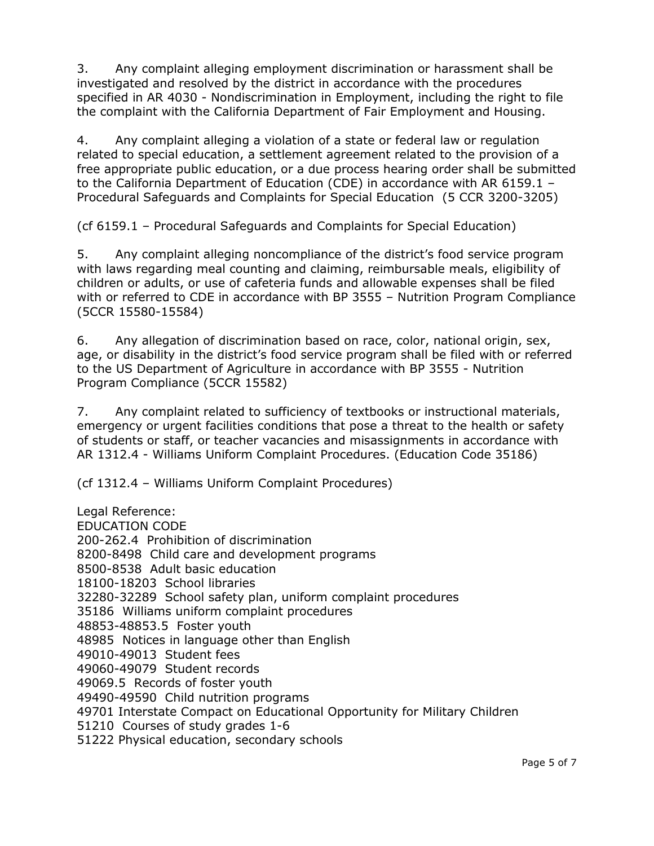3. Any complaint alleging employment discrimination or harassment shall be investigated and resolved by the district in accordance with the procedures specified in AR 4030 - Nondiscrimination in Employment, including the right to file the complaint with the California Department of Fair Employment and Housing.

4. Any complaint alleging a violation of a state or federal law or regulation related to special education, a settlement agreement related to the provision of a free appropriate public education, or a due process hearing order shall be submitted to the California Department of Education (CDE) in accordance with AR 6159.1 – Procedural Safeguards and Complaints for Special Education (5 CCR 3200-3205)

(cf 6159.1 – Procedural Safeguards and Complaints for Special Education)

5. Any complaint alleging noncompliance of the district's food service program with laws regarding meal counting and claiming, reimbursable meals, eligibility of children or adults, or use of cafeteria funds and allowable expenses shall be filed with or referred to CDE in accordance with BP 3555 – Nutrition Program Compliance (5CCR 15580-15584)

6. Any allegation of discrimination based on race, color, national origin, sex, age, or disability in the district's food service program shall be filed with or referred to the US Department of Agriculture in accordance with BP 3555 - Nutrition Program Compliance (5CCR 15582)

7. Any complaint related to sufficiency of textbooks or instructional materials, emergency or urgent facilities conditions that pose a threat to the health or safety of students or staff, or teacher vacancies and misassignments in accordance with AR 1312.4 - Williams Uniform Complaint Procedures. (Education Code 35186)

(cf 1312.4 – Williams Uniform Complaint Procedures)

Legal Reference: EDUCATION CODE 200-262.4 Prohibition of discrimination 8200-8498 Child care and development programs 8500-8538 Adult basic education 18100-18203 School libraries 32280-32289 School safety plan, uniform complaint procedures 35186 Williams uniform complaint procedures 48853-48853.5 Foster youth 48985 Notices in language other than English 49010-49013 Student fees 49060-49079 Student records 49069.5 Records of foster youth 49490-49590 Child nutrition programs 49701 Interstate Compact on Educational Opportunity for Military Children 51210 Courses of study grades 1-6 51222 Physical education, secondary schools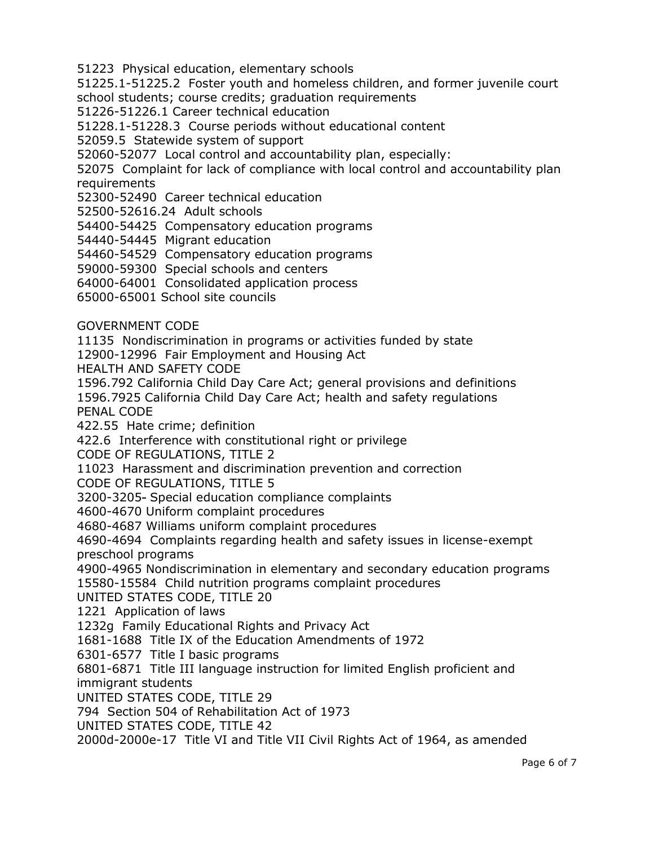51223 Physical education, elementary schools

51225.1-51225.2 Foster youth and homeless children, and former juvenile court school students; course credits; graduation requirements

51226-51226.1 Career technical education

51228.1-51228.3 Course periods without educational content

52059.5 Statewide system of support

52060-52077 Local control and accountability plan, especially:

52075 Complaint for lack of compliance with local control and accountability plan **requirements** 

52300-52490 Career technical education

52500-52616.24 Adult schools

54400-54425 Compensatory education programs

54440-54445 Migrant education

54460-54529 Compensatory education programs

59000-59300 Special schools and centers

64000-64001 Consolidated application process

65000-65001 School site councils

GOVERNMENT CODE

11135 Nondiscrimination in programs or activities funded by state

12900-12996 Fair Employment and Housing Act

HEALTH AND SAFETY CODE

1596.792 California Child Day Care Act; general provisions and definitions

1596.7925 California Child Day Care Act; health and safety regulations PENAL CODE

422.55 Hate crime; definition

422.6 Interference with constitutional right or privilege

CODE OF REGULATIONS, TITLE 2

11023 Harassment and discrimination prevention and correction

CODE OF REGULATIONS, TITLE 5

3200-3205 Special education compliance complaints

4600-4670 Uniform complaint procedures

4680-4687 Williams uniform complaint procedures

4690-4694 Complaints regarding health and safety issues in license-exempt preschool programs

4900-4965 Nondiscrimination in elementary and secondary education programs 15580-15584 Child nutrition programs complaint procedures

UNITED STATES CODE, TITLE 20

1221 Application of laws

1232g Family Educational Rights and Privacy Act

1681-1688 Title IX of the Education Amendments of 1972

6301-6577 Title I basic programs

6801-6871 Title III language instruction for limited English proficient and immigrant students

UNITED STATES CODE, TITLE 29

794 Section 504 of Rehabilitation Act of 1973

UNITED STATES CODE, TITLE 42

2000d-2000e-17 Title VI and Title VII Civil Rights Act of 1964, as amended